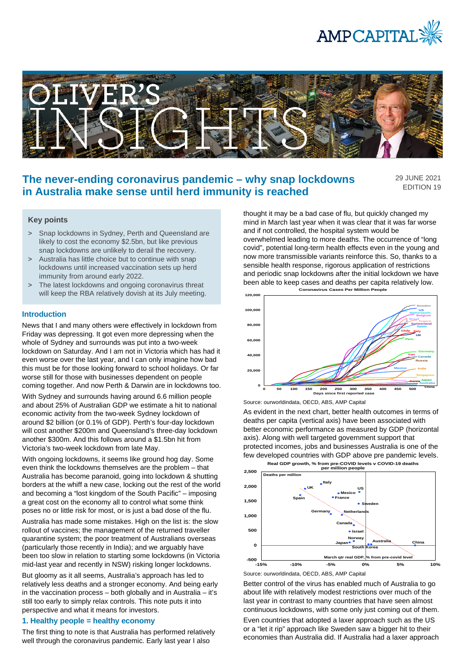



# **The never-ending coronavirus pandemic – why snap lockdowns in Australia make sense until herd immunity is reached**

29 JUNE 2021 EDITION 19

# **Key points**

- > Snap lockdowns in Sydney, Perth and Queensland are likely to cost the economy \$2.5bn, but like previous snap lockdowns are unlikely to derail the recovery.
- > Australia has little choice but to continue with snap lockdowns until increased vaccination sets up herd immunity from around early 2022.
- > The latest lockdowns and ongoing coronavirus threat will keep the RBA relatively dovish at its July meeting.

### **Introduction**

News that I and many others were effectively in lockdown from Friday was depressing. It got even more depressing when the whole of Sydney and surrounds was put into a two-week lockdown on Saturday. And I am not in Victoria which has had it even worse over the last year, and I can only imagine how bad this must be for those looking forward to school holidays. Or far worse still for those with businesses dependent on people coming together. And now Perth & Darwin are in lockdowns too.

With Sydney and surrounds having around 6.6 million people and about 25% of Australian GDP we estimate a hit to national economic activity from the two-week Sydney lockdown of around \$2 billion (or 0.1% of GDP). Perth's four-day lockdown will cost another \$200m and Queensland's three-day lockdown another \$300m. And this follows around a \$1.5bn hit from Victoria's two-week lockdown from late May.

With ongoing lockdowns, it seems like ground hog day. Some even think the lockdowns themselves are the problem – that Australia has become paranoid, going into lockdown & shutting borders at the whiff a new case, locking out the rest of the world and becoming a "lost kingdom of the South Pacific" – imposing a great cost on the economy all to control what some think poses no or little risk for most, or is just a bad dose of the flu.

Australia has made some mistakes. High on the list is: the slow rollout of vaccines; the management of the returned traveller quarantine system; the poor treatment of Australians overseas (particularly those recently in India); and we arguably have been too slow in relation to starting some lockdowns (in Victoria mid-last year and recently in NSW) risking longer lockdowns.

But gloomy as it all seems, Australia's approach has led to relatively less deaths and a stronger economy. And being early in the vaccination process – both globally and in Australia – it's still too early to simply relax controls. This note puts it into perspective and what it means for investors.

# **1. Healthy people = healthy economy**

The first thing to note is that Australia has performed relatively well through the coronavirus pandemic. Early last year I also

thought it may be a bad case of flu, but quickly changed my mind in March last year when it was clear that it was far worse and if not controlled, the hospital system would be overwhelmed leading to more deaths. The occurrence of "long covid", potential long-term health effects even in the young and now more transmissible variants reinforce this. So, thanks to a sensible health response, rigorous application of restrictions and periodic snap lockdowns after the initial lockdown we have been able to keep cases and deaths per capita relatively low. **Coronavirus Cases Per Million People**



Source: ourworldindata, OECD, ABS, AMP Capital

As evident in the next chart, better health outcomes in terms of deaths per capita (vertical axis) have been associated with better economic performance as measured by GDP (horizontal axis). Along with well targeted government support that protected incomes, jobs and businesses Australia is one of the few developed countries with GDP above pre pandemic levels.



Better control of the virus has enabled much of Australia to go about life with relatively modest restrictions over much of the last year in contrast to many countries that have seen almost continuous lockdowns, with some only just coming out of them.

Even countries that adopted a laxer approach such as the US or a "let it rip" approach like Sweden saw a bigger hit to their economies than Australia did. If Australia had a laxer approach